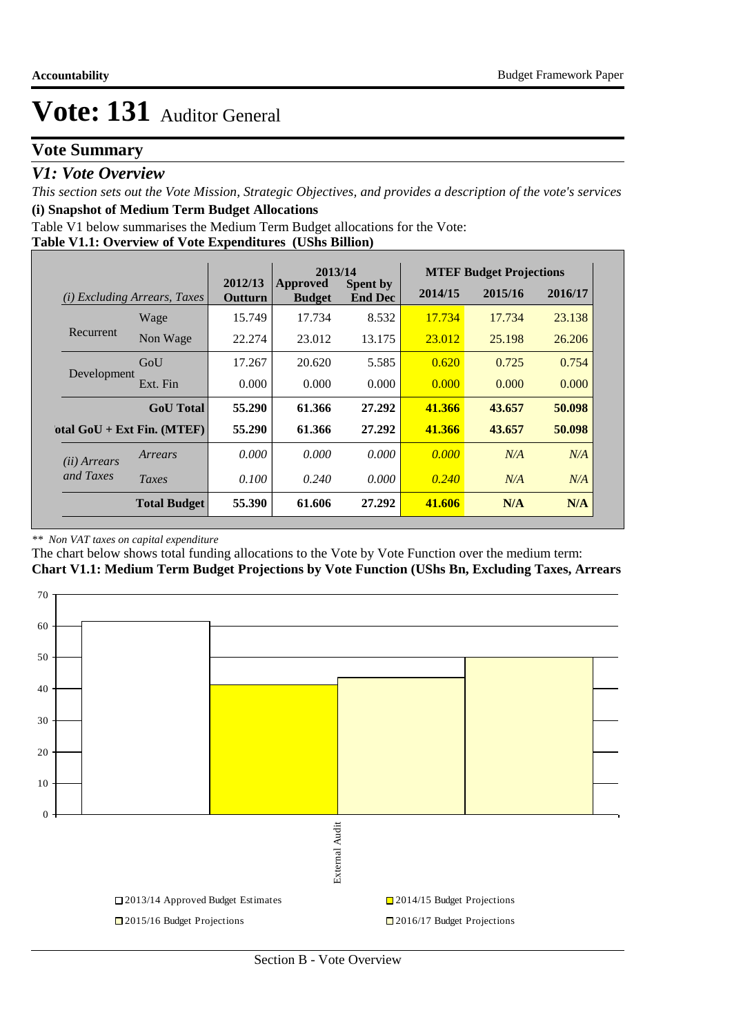### **Vote Summary**

### *V1: Vote Overview*

*This section sets out the Vote Mission, Strategic Objectives, and provides a description of the vote's services* **(i) Snapshot of Medium Term Budget Allocations** 

Table V1 below summarises the Medium Term Budget allocations for the Vote:

#### **Table V1.1: Overview of Vote Expenditures (UShs Billion)**

|                       |                                 | 2013/14            |                           |                                   | <b>MTEF Budget Projections</b> |         |         |
|-----------------------|---------------------------------|--------------------|---------------------------|-----------------------------------|--------------------------------|---------|---------|
| (i)                   | <i>Excluding Arrears, Taxes</i> | 2012/13<br>Outturn | Approved<br><b>Budget</b> | <b>Spent by</b><br><b>End Dec</b> | 2014/15                        | 2015/16 | 2016/17 |
|                       | Wage                            | 15.749             | 17.734                    | 8.532                             | 17.734                         | 17.734  | 23.138  |
| Recurrent             | Non Wage                        | 22.274             | 23.012                    | 13.175                            | 23.012                         | 25.198  | 26.206  |
|                       | GoU                             | 17.267             | 20.620                    | 5.585                             | 0.620                          | 0.725   | 0.754   |
| Development           | Ext. Fin                        | 0.000              | 0.000                     | 0.000                             | 0.000                          | 0.000   | 0.000   |
|                       | <b>GoU</b> Total                | 55.290             | 61.366                    | 27.292                            | 41.366                         | 43.657  | 50.098  |
|                       | otal $GoU + Ext Fin. (MTEF)$    | 55.290             | 61.366                    | 27.292                            | 41.366                         | 43.657  | 50.098  |
| ( <i>ii</i> ) Arrears | Arrears                         | 0.000              | 0.000                     | 0.000                             | 0.000                          | N/A     | N/A     |
| and Taxes             | Taxes                           | 0.100              | 0.240                     | 0.000                             | 0.240                          | N/A     | N/A     |
|                       | <b>Total Budget</b>             | 55.390             | 61.606                    | 27.292                            | 41.606                         | N/A     | N/A     |

#### *\*\* Non VAT taxes on capital expenditure*

The chart below shows total funding allocations to the Vote by Vote Function over the medium term:

**Chart V1.1: Medium Term Budget Projections by Vote Function (UShs Bn, Excluding Taxes, Arrears**

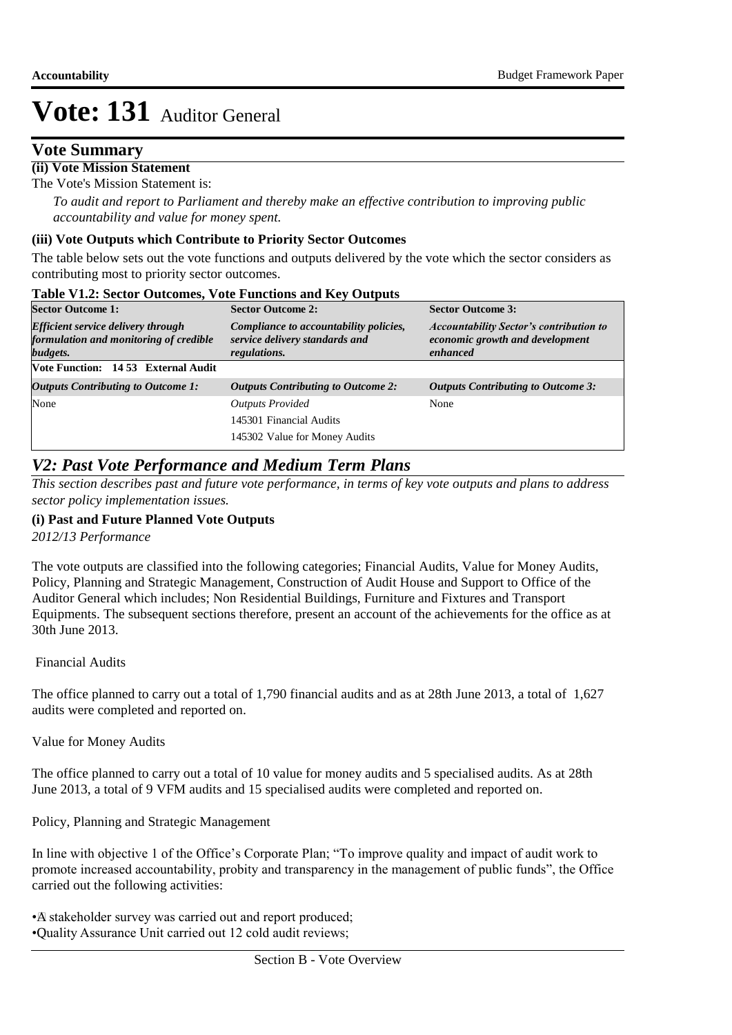### **Vote Summary**

#### **(ii) Vote Mission Statement**

The Vote's Mission Statement is:

*To audit and report to Parliament and thereby make an effective contribution to improving public accountability and value for money spent.*

#### **(iii) Vote Outputs which Contribute to Priority Sector Outcomes**

The table below sets out the vote functions and outputs delivered by the vote which the sector considers as contributing most to priority sector outcomes.<br>Table V1.2: Sector Outcomes. Vet: Franctic

| <b>Table V1.2: Sector Outcomes, Vote Functions and Key Outputs</b><br><b>Sector Outcome 1:</b>  | <b>Sector Outcome 2:</b>                                                                 | <b>Sector Outcome 3:</b>                                                                      |  |
|-------------------------------------------------------------------------------------------------|------------------------------------------------------------------------------------------|-----------------------------------------------------------------------------------------------|--|
| <b>Efficient service delivery through</b><br>formulation and monitoring of credible<br>budgets. | Compliance to accountability policies,<br>service delivery standards and<br>regulations. | <b>Accountability Sector's contribution to</b><br>economic growth and development<br>enhanced |  |
| Vote Function: 14 53 External Audit                                                             |                                                                                          |                                                                                               |  |
| <b>Outputs Contributing to Outcome 1:</b>                                                       | <b>Outputs Contributing to Outcome 2:</b>                                                | <b>Outputs Contributing to Outcome 3:</b>                                                     |  |
| None                                                                                            | <b>Outputs Provided</b><br>145301 Financial Audits<br>145302 Value for Money Audits      | None                                                                                          |  |

### *V2: Past Vote Performance and Medium Term Plans*

*This section describes past and future vote performance, in terms of key vote outputs and plans to address sector policy implementation issues.* 

#### **(i) Past and Future Planned Vote Outputs**

*2012/13 Performance*

The vote outputs are classified into the following categories; Financial Audits, Value for Money Audits, Policy, Planning and Strategic Management, Construction of Audit House and Support to Office of the Auditor General which includes; Non Residential Buildings, Furniture and Fixtures and Transport Equipments. The subsequent sections therefore, present an account of the achievements for the office as at 30th June 2013.

#### Financial Audits

The office planned to carry out a total of 1,790 financial audits and as at 28th June 2013, a total of 1,627 audits were completed and reported on.

#### Value for Money Audits

The office planned to carry out a total of 10 value for money audits and 5 specialised audits. As at 28th June 2013, a total of 9 VFM audits and 15 specialised audits were completed and reported on.

Policy, Planning and Strategic Management

In line with objective 1 of the Office's Corporate Plan; "To improve quality and impact of audit work to promote increased accountability, probity and transparency in the management of public funds", the Office carried out the following activities:

• A stakeholder survey was carried out and report produced; • Quality Assurance Unit carried out 12 cold audit reviews;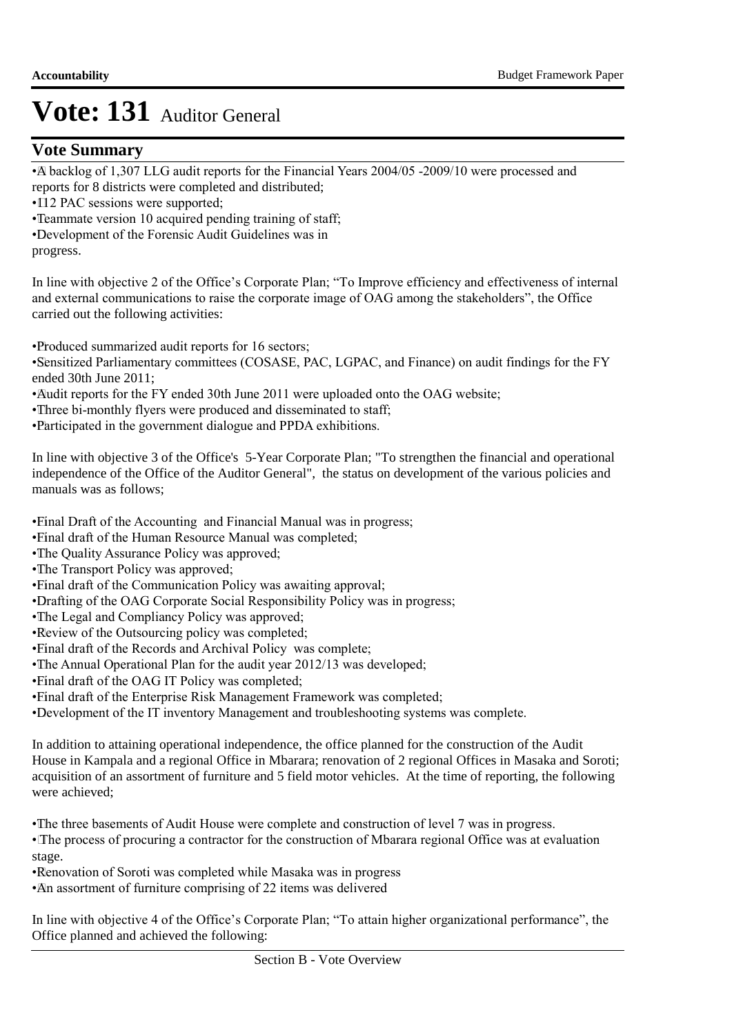### **Vote Summary**

• A backlog of 1,307 LLG audit reports for the Financial Years 2004/05 -2009/10 were processed and reports for 8 districts were completed and distributed;

- $\cdot$  12 PAC sessions were supported;
- Teammate version 10 acquired pending training of staff;
- • Development of the Forensic Audit Guidelines was in

progress.

In line with objective 2 of the Office's Corporate Plan; "To Improve efficiency and effectiveness of internal and external communications to raise the corporate image of OAG among the stakeholders", the Office carried out the following activities:

• Produced summarized audit reports for 16 sectors;

• Sensitized Parliamentary committees (COSASE, PAC, LGPAC, and Finance) on audit findings for the FY ended 30th June 2011;

• Audit reports for the FY ended 30th June 2011 were uploaded onto the OAG website;

- Three bi-monthly flyers were produced and disseminated to staff;
- • Participated in the government dialogue and PPDA exhibitions.

In line with objective 3 of the Office's 5-Year Corporate Plan; "To strengthen the financial and operational independence of the Office of the Auditor General", the status on development of the various policies and manuals was as follows;

• Final Draft of the Accounting and Financial Manual was in progress;

- Final draft of the Human Resource Manual was completed;
- The Quality Assurance Policy was approved;
- The Transport Policy was approved;
- Final draft of the Communication Policy was awaiting approval;
- • Drafting of the OAG Corporate Social Responsibility Policy was in progress;
- The Legal and Compliancy Policy was approved;
- • Review of the Outsourcing policy was completed;
- Final draft of the Records and Archival Policy was complete;
- The Annual Operational Plan for the audit year 2012/13 was developed;
- Final draft of the OAG IT Policy was completed;
- Final draft of the Enterprise Risk Management Framework was completed;
- • Development of the IT inventory Management and troubleshooting systems was complete.

In addition to attaining operational independence, the office planned for the construction of the Audit House in Kampala and a regional Office in Mbarara; renovation of 2 regional Offices in Masaka and Soroti; acquisition of an assortment of furniture and 5 field motor vehicles. At the time of reporting, the following were achieved:

• The three basements of Audit House were complete and construction of level 7 was in progress.

• The process of procuring a contractor for the construction of Mbarara regional Office was at evaluation stage.

• Renovation of Soroti was completed while Masaka was in progress

• An assortment of furniture comprising of 22 items was delivered

In line with objective 4 of the Office's Corporate Plan; "To attain higher organizational performance", the Office planned and achieved the following: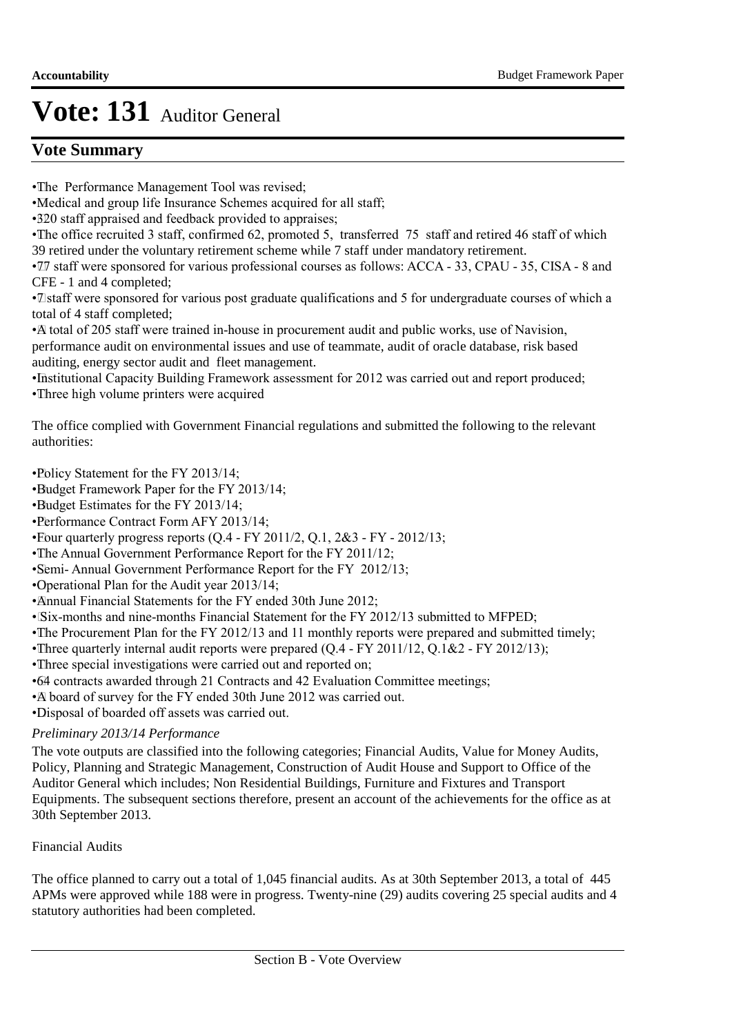## **Vote Summary**

- The Performance Management Tool was revised;
- Medical and group life Insurance Schemes acquired for all staff;
- 320 staff appraised and feedback provided to appraises;
- The office recruited 3 staff, confirmed 62, promoted 5, transferred 75 staff and retired 46 staff of which 39 retired under the voluntary retirement scheme while 7 staff under mandatory retirement.
- $\overline{17}$  staff were sponsored for various professional courses as follows: ACCA 33, CPAU 35, CISA 8 and CFE - 1 and 4 completed;
- • 7 staff were sponsored for various post graduate qualifications and 5 for undergraduate courses of which a total of 4 staff completed;
- • A total of 205 staff were trained in-house in procurement audit and public works, use of Navision, performance audit on environmental issues and use of teammate, audit of oracle database, risk based auditing, energy sector audit and fleet management.
- Institutional Capacity Building Framework assessment for 2012 was carried out and report produced;
- Three high volume printers were acquired

The office complied with Government Financial regulations and submitted the following to the relevant authorities:

- Policy Statement for the FY 2013/14;
- •Budget Framework Paper for the FY 2013/14;
- •Budget Estimates for the FY 2013/14;
- • Performance Contract Form AFY 2013/14;
- Four quarterly progress reports  $(Q.4 FY 2011/2, Q.1, 2&3 FY 2012/13;$
- The Annual Government Performance Report for the FY 2011/12;
- Semi- Annual Government Performance Report for the FY 2012/13;
- • Operational Plan for the Audit year 2013/14;
- Annual Financial Statements for the FY ended 30th June 2012;
- Six-months and nine-months Financial Statement for the FY 2012/13 submitted to MFPED;
- The Procurement Plan for the FY 2012/13 and 11 monthly reports were prepared and submitted timely;
- Three quarterly internal audit reports were prepared (Q.4 FY 2011/12, Q.1&2 FY 2012/13);
- Three special investigations were carried out and reported on;
- • 64 contracts awarded through 21 Contracts and 42 Evaluation Committee meetings;
- • A board of survey for the FY ended 30th June 2012 was carried out.
- • Disposal of boarded off assets was carried out.

### *Preliminary 2013/14 Performance*

The vote outputs are classified into the following categories; Financial Audits, Value for Money Audits, Policy, Planning and Strategic Management, Construction of Audit House and Support to Office of the Auditor General which includes; Non Residential Buildings, Furniture and Fixtures and Transport Equipments. The subsequent sections therefore, present an account of the achievements for the office as at 30th September 2013.

### Financial Audits

The office planned to carry out a total of 1,045 financial audits. As at 30th September 2013, a total of 445 APMs were approved while 188 were in progress. Twenty-nine (29) audits covering 25 special audits and 4 statutory authorities had been completed.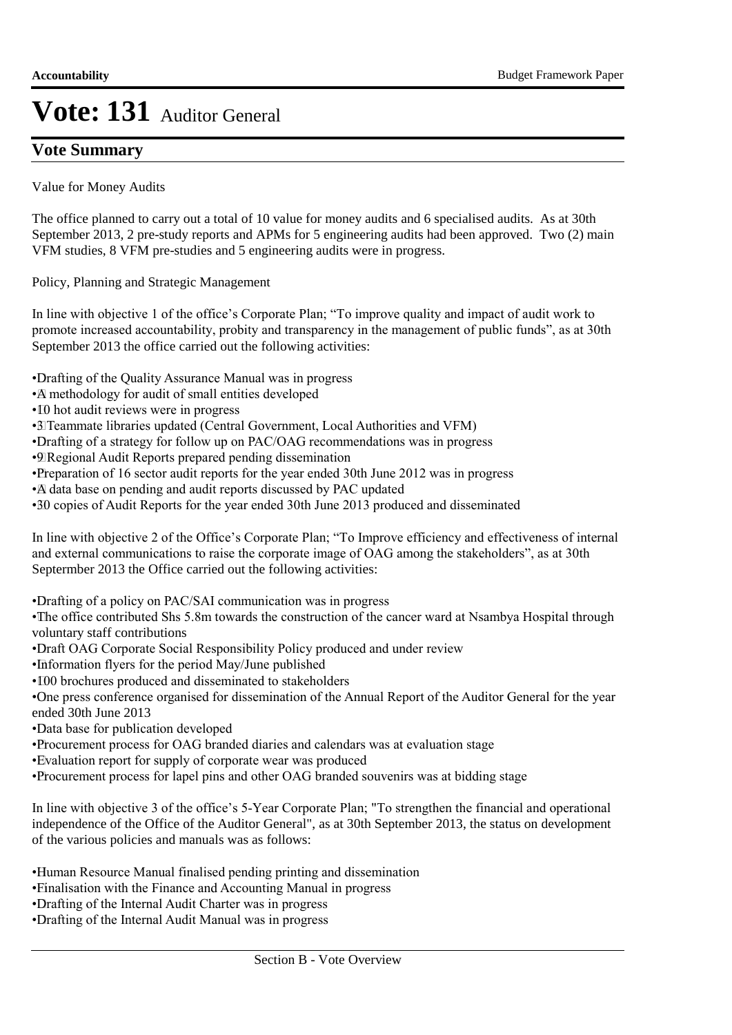### **Vote Summary**

Value for Money Audits

The office planned to carry out a total of 10 value for money audits and 6 specialised audits. As at 30th September 2013, 2 pre-study reports and APMs for 5 engineering audits had been approved. Two (2) main VFM studies, 8 VFM pre-studies and 5 engineering audits were in progress.

Policy, Planning and Strategic Management

In line with objective 1 of the office's Corporate Plan; "To improve quality and impact of audit work to promote increased accountability, probity and transparency in the management of public funds", as at 30th September 2013 the office carried out the following activities:

• Drafting of the Quality Assurance Manual was in progress

- • A methodology for audit of small entities developed
- • 10 hot audit reviews were in progress
- • 3 Teammate libraries updated (Central Government, Local Authorities and VFM)
- Drafting of a strategy for follow up on PAC/OAG recommendations was in progress
- • 9 Regional Audit Reports prepared pending dissemination
- • Preparation of 16 sector audit reports for the year ended 30th June 2012 was in progress
- • A data base on pending and audit reports discussed by PAC updated
- • 30 copies of Audit Reports for the year ended 30th June 2013 produced and disseminated

In line with objective 2 of the Office's Corporate Plan; "To Improve efficiency and effectiveness of internal and external communications to raise the corporate image of OAG among the stakeholders", as at 30th Septermber 2013 the Office carried out the following activities:

• Drafting of a policy on PAC/SAI communication was in progress

• The office contributed Shs 5.8m towards the construction of the cancer ward at Nsambya Hospital through voluntary staff contributions

- • Draft OAG Corporate Social Responsibility Policy produced and under review
- • Information flyers for the period May/June published
- • 100 brochures produced and disseminated to stakeholders
- • One press conference organised for dissemination of the Annual Report of the Auditor General for the year ended 30th June 2013
- • Data base for publication developed
- • Procurement process for OAG branded diaries and calendars was at evaluation stage
- Evaluation report for supply of corporate wear was produced
- Procurement process for lapel pins and other OAG branded souvenirs was at bidding stage

In line with objective 3 of the office's 5-Year Corporate Plan; "To strengthen the financial and operational independence of the Office of the Auditor General", as at 30th September 2013, the status on development of the various policies and manuals was as follows:

• Human Resource Manual finalised pending printing and dissemination

- • Finalisation with the Finance and Accounting Manual in progress
- • Drafting of the Internal Audit Charter was in progress
- • Drafting of the Internal Audit Manual was in progress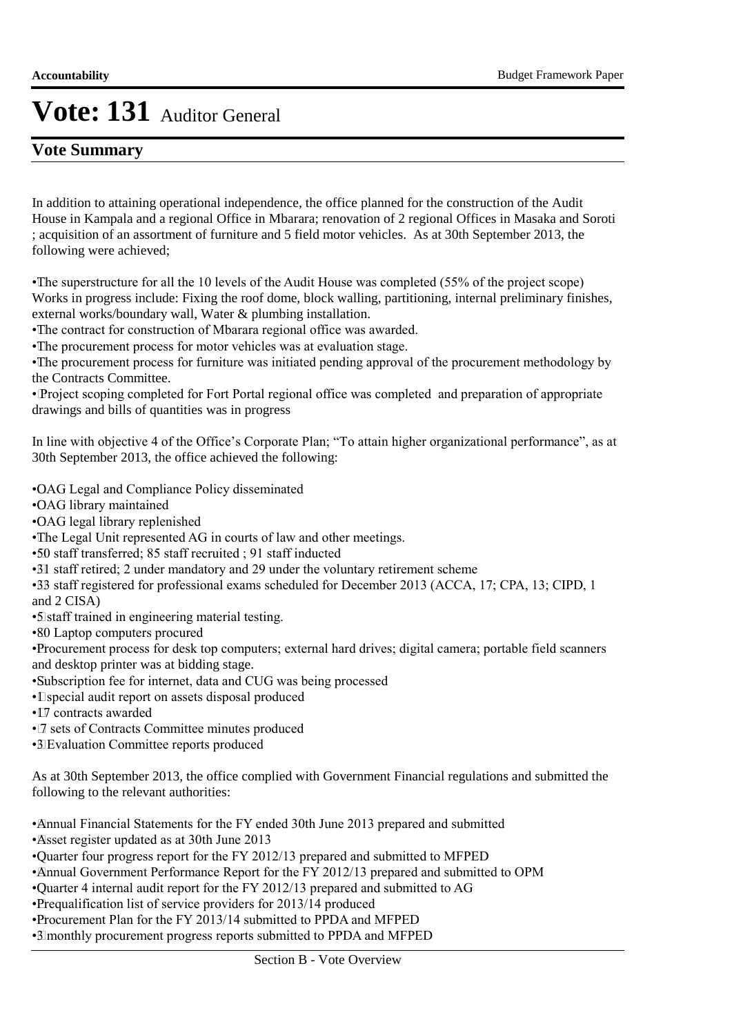### **Vote Summary**

In addition to attaining operational independence, the office planned for the construction of the Audit House in Kampala and a regional Office in Mbarara; renovation of 2 regional Offices in Masaka and Soroti ; acquisition of an assortment of furniture and 5 field motor vehicles. As at 30th September 2013, the following were achieved;

• The superstructure for all the 10 levels of the Audit House was completed (55% of the project scope) Works in progress include: Fixing the roof dome, block walling, partitioning, internal preliminary finishes, external works/boundary wall, Water & plumbing installation.

• The contract for construction of Mbarara regional office was awarded.

• The procurement process for motor vehicles was at evaluation stage.

• The procurement process for furniture was initiated pending approval of the procurement methodology by the Contracts Committee.

• Project scoping completed for Fort Portal regional office was completed and preparation of appropriate drawings and bills of quantities was in progress

In line with objective 4 of the Office's Corporate Plan; "To attain higher organizational performance", as at 30th September 2013, the office achieved the following:

• OAG Legal and Compliance Policy disseminated

• OAG library maintained

•OAG legal library replenished

• The Legal Unit represented AG in courts of law and other meetings.

• 50 staff transferred; 85 staff recruited ; 91 staff inducted

• 31 staff retired; 2 under mandatory and 29 under the voluntary retirement scheme

• 33 staff registered for professional exams scheduled for December 2013 (ACCA, 17; CPA, 13; CIPD, 1 and 2 CISA)

• 5 staff trained in engineering material testing.

• 80 Laptop computers procured

• Procurement process for desk top computers; external hard drives; digital camera; portable field scanners and desktop printer was at bidding stage.

• Subscription fee for internet, data and CUG was being processed

- • 1 special audit report on assets disposal produced
- [7] contracts awarded
- • 7 sets of Contracts Committee minutes produced

• 3 Evaluation Committee reports produced

As at 30th September 2013, the office complied with Government Financial regulations and submitted the following to the relevant authorities:

• Annual Financial Statements for the FY ended 30th June 2013 prepared and submitted

• Asset register updated as at 30th June 2013

• Quarter four progress report for the FY 2012/13 prepared and submitted to MFPED

- Annual Government Performance Report for the FY 2012/13 prepared and submitted to OPM
- • Quarter 4 internal audit report for the FY 2012/13 prepared and submitted to AG

• Prequalification list of service providers for 2013/14 produced

• Procurement Plan for the FY 2013/14 submitted to PPDA and MFPED

• 3 monthly procurement progress reports submitted to PPDA and MFPED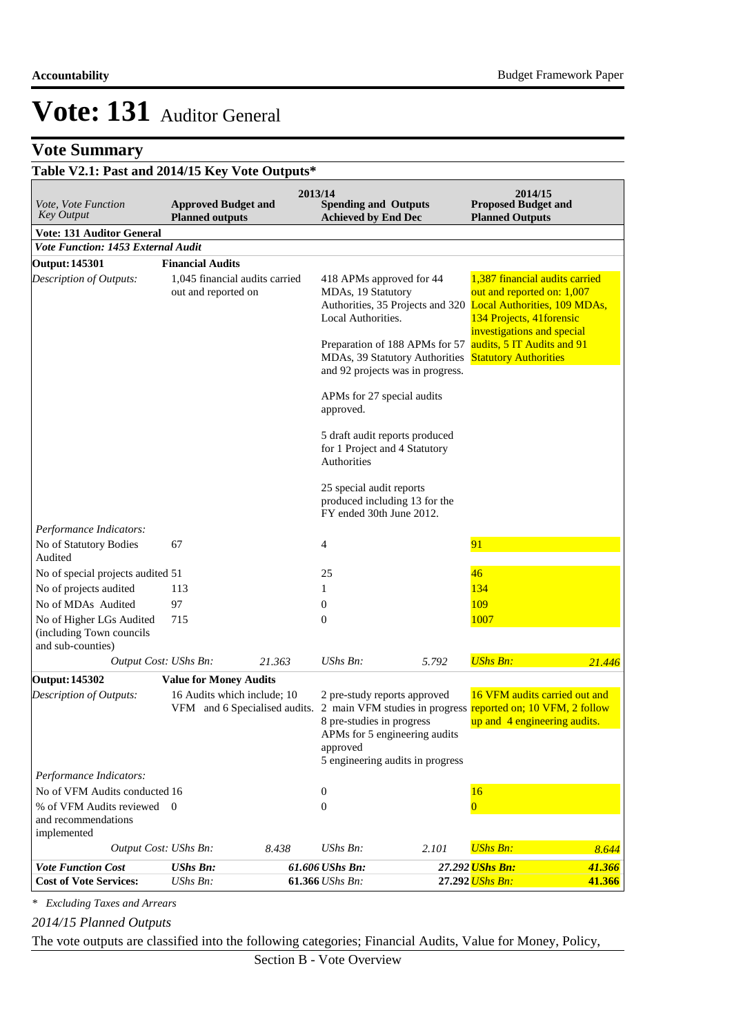## **Vote Summary**

## **Table V2.1: Past and 2014/15 Key Vote Outputs\***

| Vote, Vote Function<br><b>Key Output</b>                                  | <b>Approved Budget and</b><br><b>Planned outputs</b>         |        | 2013/14<br><b>Spending and Outputs</b><br><b>Achieved by End Dec</b>                                                                       |       | 2014/15<br><b>Proposed Budget and</b><br><b>Planned Outputs</b>                                                                                            |        |
|---------------------------------------------------------------------------|--------------------------------------------------------------|--------|--------------------------------------------------------------------------------------------------------------------------------------------|-------|------------------------------------------------------------------------------------------------------------------------------------------------------------|--------|
| <b>Vote: 131 Auditor General</b>                                          |                                                              |        |                                                                                                                                            |       |                                                                                                                                                            |        |
| Vote Function: 1453 External Audit                                        |                                                              |        |                                                                                                                                            |       |                                                                                                                                                            |        |
| <b>Output: 145301</b>                                                     | <b>Financial Audits</b>                                      |        |                                                                                                                                            |       |                                                                                                                                                            |        |
| Description of Outputs:                                                   | 1,045 financial audits carried<br>out and reported on        |        | 418 APMs approved for 44<br>MDAs, 19 Statutory<br>Local Authorities.                                                                       |       | 1,387 financial audits carried<br>out and reported on: 1,007<br>Authorities, 35 Projects and 320 Local Authorities, 109 MDAs,<br>134 Projects, 41 forensic |        |
|                                                                           |                                                              |        | Preparation of 188 APMs for 57<br>MDAs, 39 Statutory Authorities<br>and 92 projects was in progress.                                       |       | investigations and special<br>audits, 5 IT Audits and 91<br><b>Statutory Authorities</b>                                                                   |        |
|                                                                           |                                                              |        | APMs for 27 special audits<br>approved.                                                                                                    |       |                                                                                                                                                            |        |
|                                                                           |                                                              |        | 5 draft audit reports produced<br>for 1 Project and 4 Statutory<br>Authorities                                                             |       |                                                                                                                                                            |        |
|                                                                           |                                                              |        | 25 special audit reports<br>produced including 13 for the<br>FY ended 30th June 2012.                                                      |       |                                                                                                                                                            |        |
| Performance Indicators:                                                   |                                                              |        |                                                                                                                                            |       |                                                                                                                                                            |        |
| No of Statutory Bodies<br>Audited                                         | 67                                                           |        | 4                                                                                                                                          |       | 91                                                                                                                                                         |        |
| No of special projects audited 51                                         |                                                              |        | 25                                                                                                                                         |       | 46                                                                                                                                                         |        |
| No of projects audited                                                    | 113                                                          |        | 1                                                                                                                                          |       | 134                                                                                                                                                        |        |
| No of MDAs Audited                                                        | 97                                                           |        | 0                                                                                                                                          |       | 109                                                                                                                                                        |        |
| No of Higher LGs Audited<br>(including Town councils<br>and sub-counties) | 715                                                          |        | $\mathbf{0}$                                                                                                                               |       | 1007                                                                                                                                                       |        |
| Output Cost: UShs Bn:                                                     |                                                              | 21.363 | UShs Bn:                                                                                                                                   | 5.792 | <b>UShs Bn:</b>                                                                                                                                            | 21.446 |
| <b>Output: 145302</b>                                                     | <b>Value for Money Audits</b>                                |        |                                                                                                                                            |       |                                                                                                                                                            |        |
| <b>Description of Outputs:</b>                                            | 16 Audits which include; 10<br>VFM and 6 Specialised audits. |        | 2 pre-study reports approved<br>8 pre-studies in progress<br>APMs for 5 engineering audits<br>approved<br>5 engineering audits in progress |       | 16 VFM audits carried out and<br>2 main VFM studies in progress reported on; 10 VFM, 2 follow<br>up and 4 engineering audits.                              |        |
| Performance Indicators:                                                   |                                                              |        |                                                                                                                                            |       |                                                                                                                                                            |        |
| No of VFM Audits conducted 16                                             |                                                              |        | 0                                                                                                                                          |       | 16                                                                                                                                                         |        |
| % of VFM Audits reviewed 0<br>and recommendations<br>implemented          |                                                              |        | $\mathbf{0}$                                                                                                                               |       | $\overline{0}$                                                                                                                                             |        |
| Output Cost: UShs Bn:                                                     |                                                              | 8.438  | UShs Bn:                                                                                                                                   | 2.101 | <b>UShs Bn:</b>                                                                                                                                            | 8.644  |
| <b>Vote Function Cost</b>                                                 | <b>UShs Bn:</b>                                              |        | 61.606 UShs Bn:                                                                                                                            |       | 27.292 <mark>UShs Bn:</mark>                                                                                                                               | 41.366 |
| <b>Cost of Vote Services:</b>                                             | UShs Bn:                                                     |        | 61.366 UShs Bn:                                                                                                                            |       | 27.292 UShs Bn:                                                                                                                                            | 41.366 |

*\* Excluding Taxes and Arrears*

*2014/15 Planned Outputs*

The vote outputs are classified into the following categories; Financial Audits, Value for Money, Policy,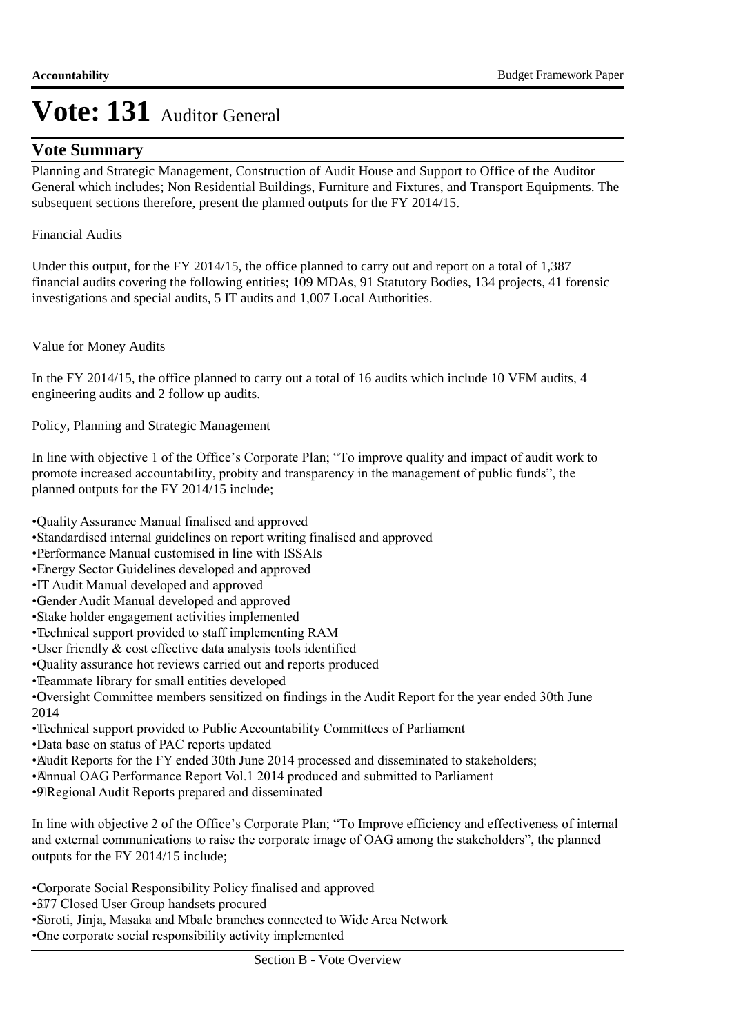### **Vote Summary**

Planning and Strategic Management, Construction of Audit House and Support to Office of the Auditor General which includes; Non Residential Buildings, Furniture and Fixtures, and Transport Equipments. The subsequent sections therefore, present the planned outputs for the FY 2014/15.

#### Financial Audits

Under this output, for the FY 2014/15, the office planned to carry out and report on a total of 1,387 financial audits covering the following entities; 109 MDAs, 91 Statutory Bodies, 134 projects, 41 forensic investigations and special audits, 5 IT audits and 1,007 Local Authorities.

Value for Money Audits

In the FY 2014/15, the office planned to carry out a total of 16 audits which include 10 VFM audits, 4 engineering audits and 2 follow up audits.

Policy, Planning and Strategic Management

In line with objective 1 of the Office's Corporate Plan; "To improve quality and impact of audit work to promote increased accountability, probity and transparency in the management of public funds", the planned outputs for the FY 2014/15 include;

• Quality Assurance Manual finalised and approved

- • Standardised internal guidelines on report writing finalised and approved
- • Performance Manual customised in line with ISSAIs
- Energy Sector Guidelines developed and approved
- • IT Audit Manual developed and approved
- • Gender Audit Manual developed and approved
- • Stake holder engagement activities implemented
- • Technical support provided to staff implementing RAM
- $\cdot$ User friendly  $\&$  cost effective data analysis tools identified
- • Quality assurance hot reviews carried out and reports produced
- • Teammate library for small entities developed
- • Oversight Committee members sensitized on findings in the Audit Report for the year ended 30th June 2014
- • Technical support provided to Public Accountability Committees of Parliament
- • Data base on status of PAC reports updated
- • Audit Reports for the FY ended 30th June 2014 processed and disseminated to stakeholders;
- Annual OAG Performance Report Vol.1 2014 produced and submitted to Parliament
- • 9 Regional Audit Reports prepared and disseminated

In line with objective 2 of the Office's Corporate Plan; "To Improve efficiency and effectiveness of internal and external communications to raise the corporate image of OAG among the stakeholders", the planned outputs for the FY 2014/15 include;

• Corporate Social Responsibility Policy finalised and approved

• 377 Closed User Group handsets procured

• Soroti, Jinja, Masaka and Mbale branches connected to Wide Area Network

• One corporate social responsibility activity implemented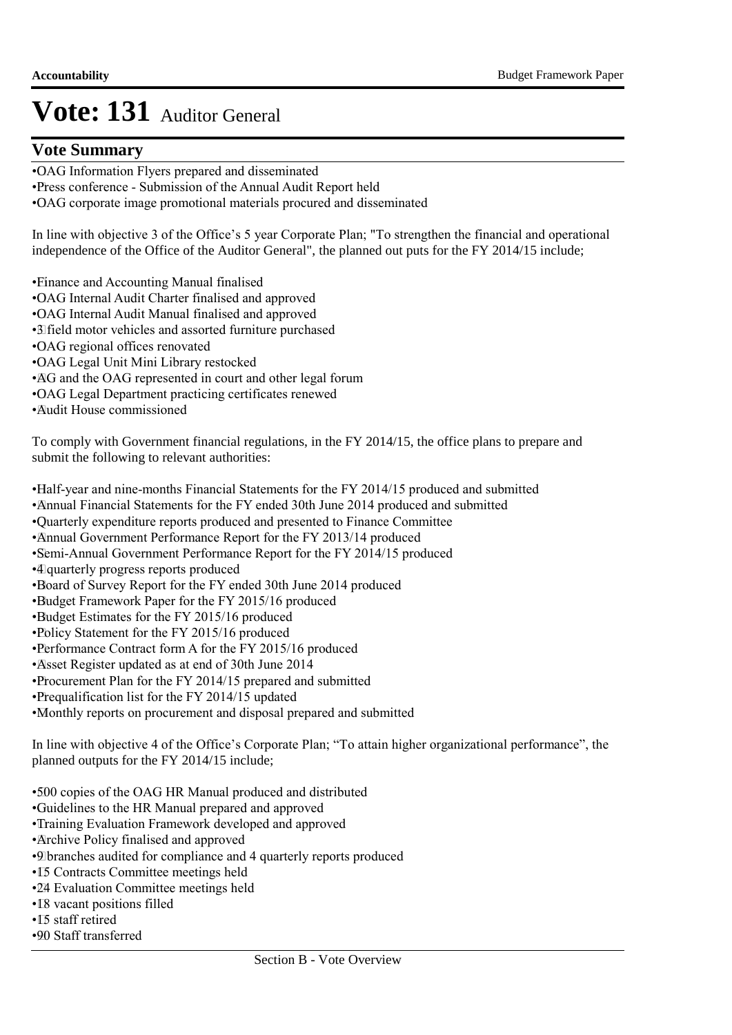### **Vote Summary**

- • OAG Information Flyers prepared and disseminated
- • Press conference Submission of the Annual Audit Report held
- • OAG corporate image promotional materials procured and disseminated

In line with objective 3 of the Office's 5 year Corporate Plan; "To strengthen the financial and operational independence of the Office of the Auditor General", the planned out puts for the FY 2014/15 include;

• Finance and Accounting Manual finalised

- • OAG Internal Audit Charter finalised and approved
- • OAG Internal Audit Manual finalised and approved
- • 3 field motor vehicles and assorted furniture purchased
- • OAG regional offices renovated
- • OAG Legal Unit Mini Library restocked
- • AG and the OAG represented in court and other legal forum
- • OAG Legal Department practicing certificates renewed
- • Audit House commissioned

To comply with Government financial regulations, in the FY 2014/15, the office plans to prepare and submit the following to relevant authorities:

- • Half-year and nine-months Financial Statements for the FY 2014/15 produced and submitted
- • Annual Financial Statements for the FY ended 30th June 2014 produced and submitted
- • Quarterly expenditure reports produced and presented to Finance Committee
- Annual Government Performance Report for the FY 2013/14 produced
- • Semi-Annual Government Performance Report for the FY 2014/15 produced
- • 4 quarterly progress reports produced
- • Board of Survey Report for the FY ended 30th June 2014 produced
- • Budget Framework Paper for the FY 2015/16 produced
- • Budget Estimates for the FY 2015/16 produced
- •Policy Statement for the FY 2015/16 produced
- • Performance Contract form A for the FY 2015/16 produced
- • Asset Register updated as at end of 30th June 2014
- • Procurement Plan for the FY 2014/15 prepared and submitted
- Prequalification list for the FY 2014/15 updated
- • Monthly reports on procurement and disposal prepared and submitted

In line with objective 4 of the Office's Corporate Plan; "To attain higher organizational performance", the planned outputs for the FY 2014/15 include;

- • 500 copies of the OAG HR Manual produced and distributed
- • Guidelines to the HR Manual prepared and approved
- • Training Evaluation Framework developed and approved
- • Archive Policy finalised and approved
- • 9 branches audited for compliance and 4 quarterly reports produced
- • 15 Contracts Committee meetings held
- • 24 Evaluation Committee meetings held
- IS vacant positions filled
- I5 staff retired
- • 90 Staff transferred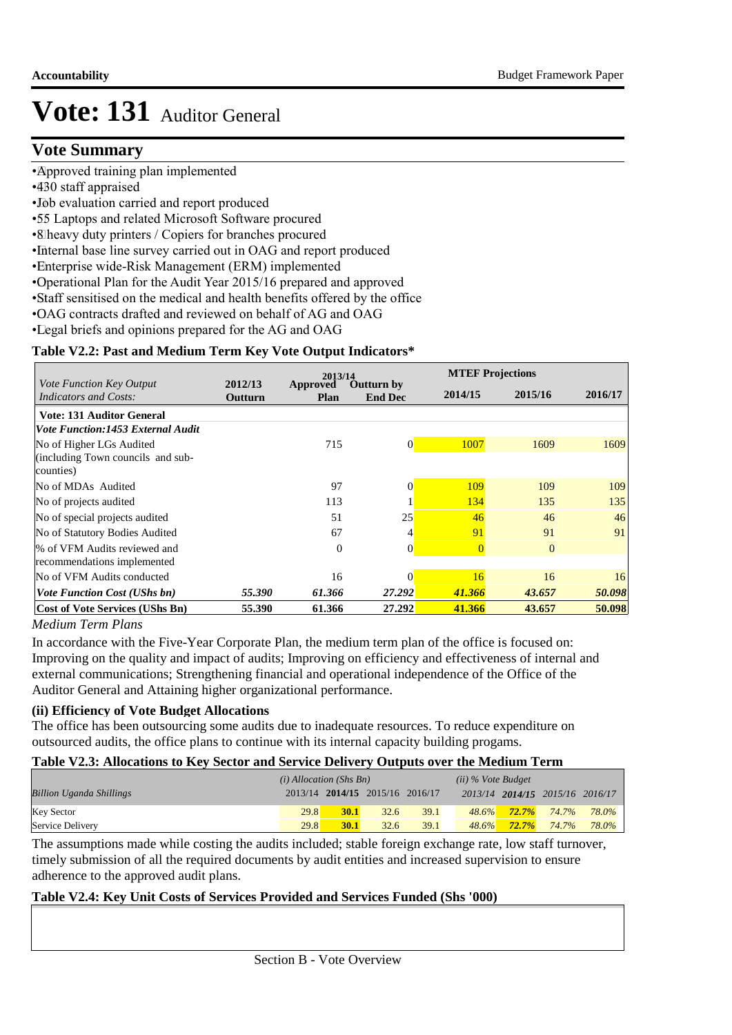### **Vote Summary**

- Approved training plan implemented
- •430 staff appraised
- • Job evaluation carried and report produced
- • 55 Laptops and related Microsoft Software procured
- • 8 heavy duty printers / Copiers for branches procured
- Internal base line survey carried out in OAG and report produced
- • Enterprise wide-Risk Management (ERM) implemented
- • Operational Plan for the Audit Year 2015/16 prepared and approved
- • Staff sensitised on the medical and health benefits offered by the office
- • OAG contracts drafted and reviewed on behalf of AG and OAG
- Legal briefs and opinions prepared for the AG and OAG

#### **Table V2.2: Past and Medium Term Key Vote Output Indicators\***

|                                                          |                    | 2013/14                 |                                     | <b>MTEF Projections</b> |                |         |  |
|----------------------------------------------------------|--------------------|-------------------------|-------------------------------------|-------------------------|----------------|---------|--|
| Vote Function Key Output<br><i>Indicators and Costs:</i> | 2012/13<br>Outturn | Approved<br><b>Plan</b> | <b>Outturn by</b><br><b>End Dec</b> | 2014/15                 | 2015/16        | 2016/17 |  |
| <b>Vote: 131 Auditor General</b>                         |                    |                         |                                     |                         |                |         |  |
| Vote Function:1453 External Audit                        |                    |                         |                                     |                         |                |         |  |
| No of Higher LGs Audited                                 |                    | 715                     | $\overline{0}$                      | 1007                    | 1609           | 1609    |  |
| (including Town councils and sub-                        |                    |                         |                                     |                         |                |         |  |
| counties)                                                |                    |                         |                                     |                         |                |         |  |
| No of MDAs Audited                                       |                    | 97                      | 0                                   | 109                     | 109            | 109     |  |
| No of projects audited                                   |                    | 113                     |                                     | 134                     | 135            | 135     |  |
| No of special projects audited                           |                    | 51                      | 25                                  | 46                      | 46             | 46      |  |
| No of Statutory Bodies Audited                           |                    | 67                      | 4                                   | 91                      | 91             | 91      |  |
| % of VFM Audits reviewed and                             |                    | $\theta$                | $\Omega$                            | $\overline{0}$          | $\overline{0}$ |         |  |
| recommendations implemented                              |                    |                         |                                     |                         |                |         |  |
| No of VFM Audits conducted                               |                    | 16                      | 0                                   | 16                      | 16             | 16      |  |
| <b>Vote Function Cost (UShs bn)</b>                      | 55.390             | 61.366                  | 27.292                              | 41.366                  | 43.657         | 50.098  |  |
| <b>Cost of Vote Services (UShs Bn)</b>                   | 55.390             | 61.366                  | 27.292                              | 41.366                  | 43.657         | 50.098  |  |

#### *Medium Term Plans*

In accordance with the Five-Year Corporate Plan, the medium term plan of the office is focused on: Improving on the quality and impact of audits; Improving on efficiency and effectiveness of internal and external communications; Strengthening financial and operational independence of the Office of the Auditor General and Attaining higher organizational performance.

#### **(ii) Efficiency of Vote Budget Allocations**

The office has been outsourcing some audits due to inadequate resources. To reduce expenditure on outsourced audits, the office plans to continue with its internal capacity building progams.

#### **Table V2.3: Allocations to Key Sector and Service Delivery Outputs over the Medium Term**

|                                 | $(i)$ Allocation (Shs Bn) |             |                                 |      | $(ii)$ % Vote Budget |          |                                 |       |
|---------------------------------|---------------------------|-------------|---------------------------------|------|----------------------|----------|---------------------------------|-------|
| <b>Billion Uganda Shillings</b> |                           |             | 2013/14 2014/15 2015/16 2016/17 |      |                      |          | 2013/14 2014/15 2015/16 2016/17 |       |
| <b>Key Sector</b>               | 29.8                      | <b>30.1</b> | 32.6                            | 39.1 | $48.6\%$             | $72.7\%$ | 74.7%                           | 78.0% |
| Service Delivery                | 29.8                      | <b>30.1</b> | 32.6                            | 39.1 | 48.6%                | $72.7\%$ | 74.7%                           | 78.0% |

The assumptions made while costing the audits included; stable foreign exchange rate, low staff turnover, timely submission of all the required documents by audit entities and increased supervision to ensure adherence to the approved audit plans.

#### **Table V2.4: Key Unit Costs of Services Provided and Services Funded (Shs '000)**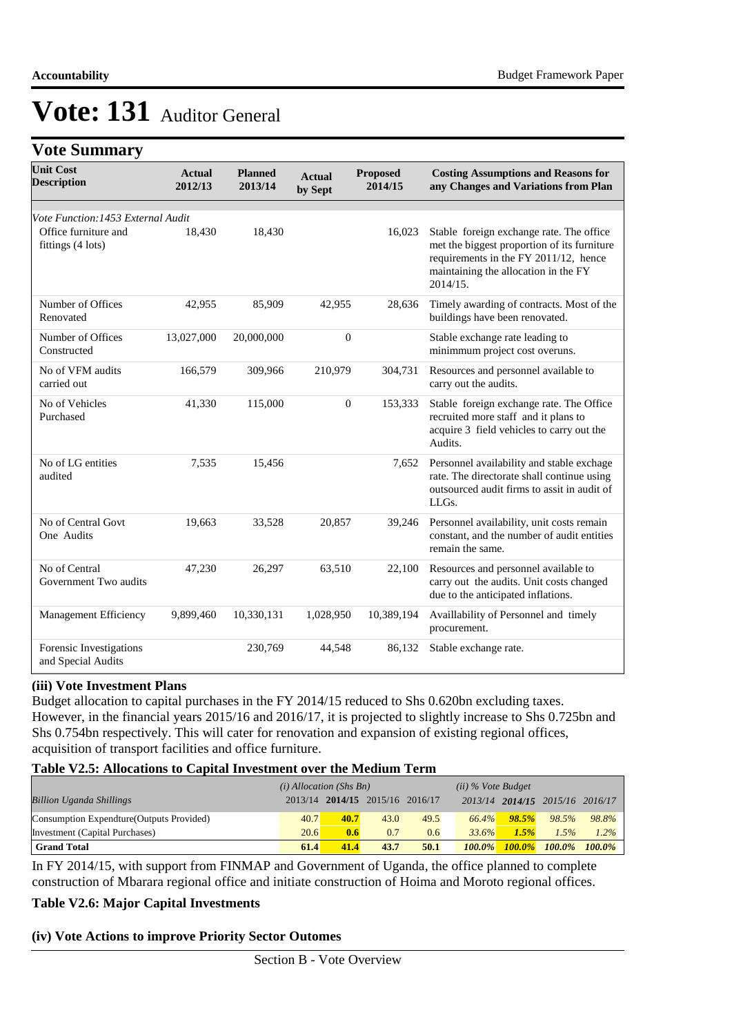## **Vote Summary**

| <b>Unit Cost</b><br><b>Description</b>        | <b>Actual</b><br>2012/13 | <b>Planned</b><br>2013/14 | <b>Actual</b><br>by Sept | <b>Proposed</b><br>2014/15 | <b>Costing Assumptions and Reasons for</b><br>any Changes and Variations from Plan                                                                                                   |
|-----------------------------------------------|--------------------------|---------------------------|--------------------------|----------------------------|--------------------------------------------------------------------------------------------------------------------------------------------------------------------------------------|
| Vote Function: 1453 External Audit            |                          |                           |                          |                            |                                                                                                                                                                                      |
| Office furniture and<br>fittings (4 lots)     | 18,430                   | 18,430                    |                          | 16,023                     | Stable foreign exchange rate. The office<br>met the biggest proportion of its furniture<br>requirements in the FY 2011/12, hence<br>maintaining the allocation in the FY<br>2014/15. |
| Number of Offices<br>Renovated                | 42,955                   | 85,909                    | 42,955                   | 28,636                     | Timely awarding of contracts. Most of the<br>buildings have been renovated.                                                                                                          |
| Number of Offices<br>Constructed              | 13,027,000               | 20,000,000                | $\mathbf{0}$             |                            | Stable exchange rate leading to<br>minimmum project cost overuns.                                                                                                                    |
| No of VFM audits<br>carried out               | 166,579                  | 309,966                   | 210,979                  | 304,731                    | Resources and personnel available to<br>carry out the audits.                                                                                                                        |
| No of Vehicles<br>Purchased                   | 41,330                   | 115,000                   | $\mathbf{0}$             | 153,333                    | Stable foreign exchange rate. The Office<br>recruited more staff and it plans to<br>acquire 3 field vehicles to carry out the<br>Audits.                                             |
| No of LG entities<br>audited                  | 7,535                    | 15,456                    |                          | 7,652                      | Personnel availability and stable exchage<br>rate. The directorate shall continue using<br>outsourced audit firms to assit in audit of<br>$LL$ $Gs.$                                 |
| No of Central Govt<br>One Audits              | 19,663                   | 33,528                    | 20,857                   | 39,246                     | Personnel availability, unit costs remain<br>constant, and the number of audit entities<br>remain the same.                                                                          |
| No of Central<br>Government Two audits        | 47,230                   | 26,297                    | 63,510                   | 22,100                     | Resources and personnel available to<br>carry out the audits. Unit costs changed<br>due to the anticipated inflations.                                                               |
| Management Efficiency                         | 9,899,460                | 10,330,131                | 1,028,950                | 10,389,194                 | Availlability of Personnel and timely<br>procurement.                                                                                                                                |
| Forensic Investigations<br>and Special Audits |                          | 230,769                   | 44,548                   | 86,132                     | Stable exchange rate.                                                                                                                                                                |

#### **(iii) Vote Investment Plans**

Budget allocation to capital purchases in the FY 2014/15 reduced to Shs 0.620bn excluding taxes. However, in the financial years 2015/16 and 2016/17, it is projected to slightly increase to Shs 0.725bn and Shs 0.754bn respectively. This will cater for renovation and expansion of existing regional offices, acquisition of transport facilities and office furniture.

#### **Table V2.5: Allocations to Capital Investment over the Medium Term**

|                                           | $(i)$ Allocation (Shs Bn) |      |                         |      | $(ii)$ % Vote Budget |           |                                 |           |
|-------------------------------------------|---------------------------|------|-------------------------|------|----------------------|-----------|---------------------------------|-----------|
| <b>Billion Uganda Shillings</b>           | 2013/14                   |      | 2014/15 2015/16 2016/17 |      |                      |           | 2013/14 2014/15 2015/16 2016/17 |           |
| Consumption Expendture (Outputs Provided) | 40.7                      | 40.7 | 43.0                    | 49.5 | 66.4%                | 98.5%     | 98.5%                           | 98.8%     |
| Investment (Capital Purchases)            | 20.6                      | 0.6  | 0.7                     | 0.6  | 33.6%                | 1.5%      | 1.5%                            | $1.2\%$   |
| <b>Grand Total</b>                        | 61.4                      | 41.4 | 43.7                    | 50.1 | $100.0\%$            | $100.0\%$ | 100.0%                          | $100.0\%$ |

In FY 2014/15, with support from FINMAP and Government of Uganda, the office planned to complete construction of Mbarara regional office and initiate construction of Hoima and Moroto regional offices.

#### **Table V2.6: Major Capital Investments**

#### **(iv) Vote Actions to improve Priority Sector Outomes**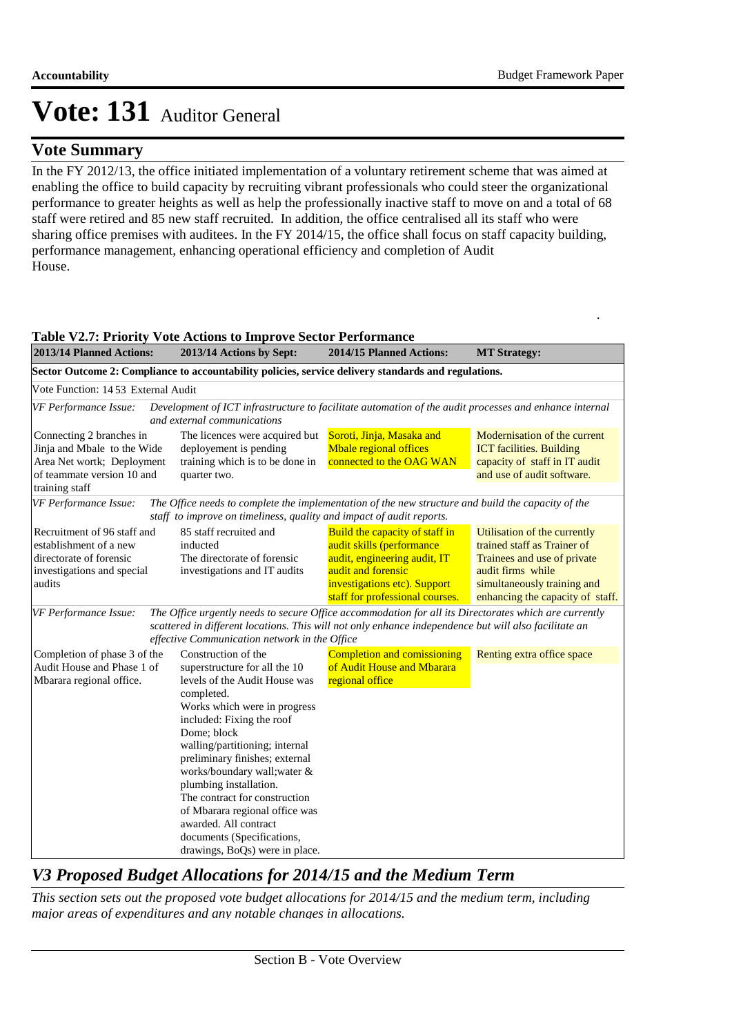### **Vote Summary**

In the FY 2012/13, the office initiated implementation of a voluntary retirement scheme that was aimed at enabling the office to build capacity by recruiting vibrant professionals who could steer the organizational performance to greater heights as well as help the professionally inactive staff to move on and a total of 68 staff were retired and 85 new staff recruited. In addition, the office centralised all its staff who were sharing office premises with auditees. In the FY 2014/15, the office shall focus on staff capacity building, performance management, enhancing operational efficiency and completion of Audit House.

.

| 2013/14 Planned Actions:                                                                                                              | 2013/14 Actions by Sept:                                                                                                                                                                                                                                                                                                                                                                                                                                                  | 2014/15 Planned Actions:                                                                                                                                                             | <b>MT Strategy:</b>                                                                                                                                                                |
|---------------------------------------------------------------------------------------------------------------------------------------|---------------------------------------------------------------------------------------------------------------------------------------------------------------------------------------------------------------------------------------------------------------------------------------------------------------------------------------------------------------------------------------------------------------------------------------------------------------------------|--------------------------------------------------------------------------------------------------------------------------------------------------------------------------------------|------------------------------------------------------------------------------------------------------------------------------------------------------------------------------------|
|                                                                                                                                       | Sector Outcome 2: Compliance to accountability policies, service delivery standards and regulations.                                                                                                                                                                                                                                                                                                                                                                      |                                                                                                                                                                                      |                                                                                                                                                                                    |
| Vote Function: 14 53 External Audit                                                                                                   |                                                                                                                                                                                                                                                                                                                                                                                                                                                                           |                                                                                                                                                                                      |                                                                                                                                                                                    |
| VF Performance Issue:                                                                                                                 | Development of ICT infrastructure to facilitate automation of the audit processes and enhance internal<br>and external communications                                                                                                                                                                                                                                                                                                                                     |                                                                                                                                                                                      |                                                                                                                                                                                    |
| Connecting 2 branches in<br>Jinja and Mbale to the Wide<br>Area Net wortk; Deployment<br>of teammate version 10 and<br>training staff | The licences were acquired but<br>deployement is pending<br>training which is to be done in<br>quarter two.                                                                                                                                                                                                                                                                                                                                                               | Soroti, Jinja, Masaka and<br><b>Mbale regional offices</b><br>connected to the OAG WAN                                                                                               | Modernisation of the current<br><b>ICT</b> facilities. Building<br>capacity of staff in IT audit<br>and use of audit software.                                                     |
| VF Performance Issue:                                                                                                                 | The Office needs to complete the implementation of the new structure and build the capacity of the                                                                                                                                                                                                                                                                                                                                                                        |                                                                                                                                                                                      |                                                                                                                                                                                    |
|                                                                                                                                       | staff to improve on timeliness, quality and impact of audit reports.                                                                                                                                                                                                                                                                                                                                                                                                      |                                                                                                                                                                                      |                                                                                                                                                                                    |
| Recruitment of 96 staff and<br>establishment of a new<br>directorate of forensic<br>investigations and special<br>audits              | 85 staff recruited and<br>inducted<br>The directorate of forensic<br>investigations and IT audits                                                                                                                                                                                                                                                                                                                                                                         | Build the capacity of staff in<br>audit skills (performance<br>audit, engineering audit, IT<br>audit and forensic<br>investigations etc). Support<br>staff for professional courses. | Utilisation of the currently<br>trained staff as Trainer of<br>Trainees and use of private<br>audit firms while<br>simultaneously training and<br>enhancing the capacity of staff. |
| VF Performance Issue:                                                                                                                 | The Office urgently needs to secure Office accommodation for all its Directorates which are currently<br>scattered in different locations. This will not only enhance independence but will also facilitate an<br>effective Communication network in the Office                                                                                                                                                                                                           |                                                                                                                                                                                      |                                                                                                                                                                                    |
| Completion of phase 3 of the<br>Audit House and Phase 1 of<br>Mbarara regional office.                                                | Construction of the<br>superstructure for all the 10<br>levels of the Audit House was<br>completed.<br>Works which were in progress<br>included: Fixing the roof<br>Dome; block<br>walling/partitioning; internal<br>preliminary finishes; external<br>works/boundary wall; water &<br>plumbing installation.<br>The contract for construction<br>of Mbarara regional office was<br>awarded. All contract<br>documents (Specifications,<br>drawings, BoQs) were in place. | <b>Completion and comissioning</b><br>of Audit House and Mbarara<br>regional office                                                                                                  | Renting extra office space                                                                                                                                                         |

#### **Table V2.7: Priority Vote Actions to Improve Sector Performance**

## *V3 Proposed Budget Allocations for 2014/15 and the Medium Term*

*This section sets out the proposed vote budget allocations for 2014/15 and the medium term, including major areas of expenditures and any notable changes in allocations.*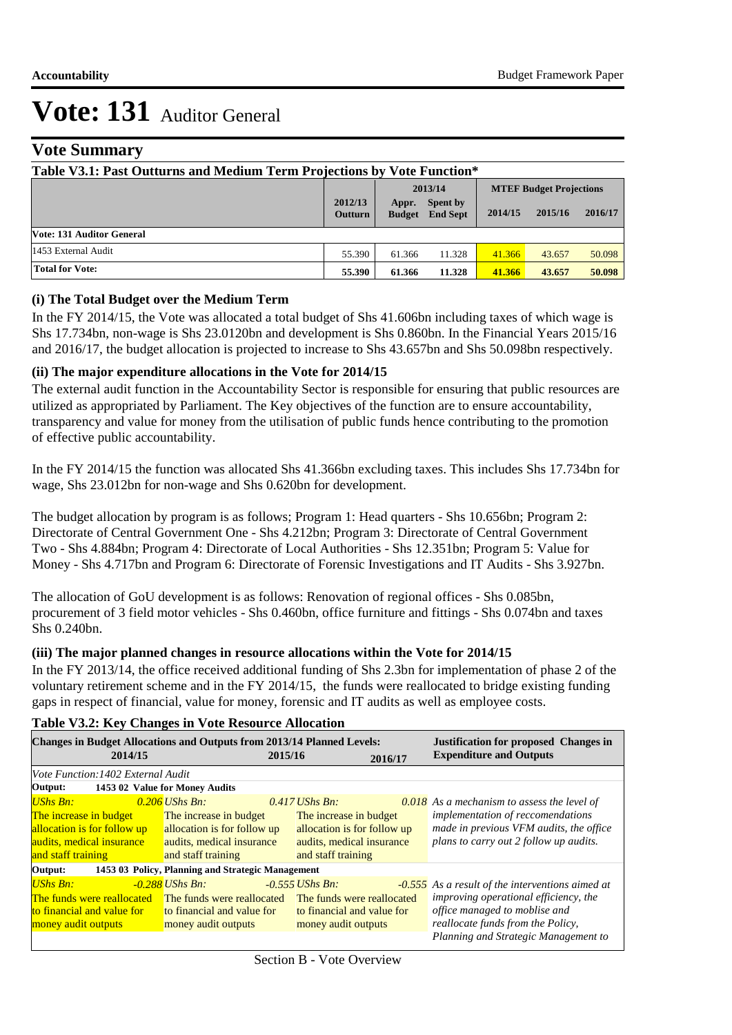### **Vote Summary**

| Table V3.1: Past Outturns and Medium Term Projections by Vote Function* |                           |                        |                             |         |                                |         |  |
|-------------------------------------------------------------------------|---------------------------|------------------------|-----------------------------|---------|--------------------------------|---------|--|
|                                                                         |                           |                        | 2013/14                     |         | <b>MTEF Budget Projections</b> |         |  |
|                                                                         | 2012/13<br><b>Outturn</b> | Appr.<br><b>Budget</b> | Spent by<br><b>End Sept</b> | 2014/15 | 2015/16                        | 2016/17 |  |
| <b>Vote: 131 Auditor General</b>                                        |                           |                        |                             |         |                                |         |  |
| 1453 External Audit                                                     | 55.390                    | 61.366                 | 11.328                      | 41.366  | 43.657                         | 50.098  |  |
| <b>Total for Vote:</b>                                                  | 55.390                    | 61.366                 | 11.328                      | 41.366  | 43.657                         | 50.098  |  |

#### **(i) The Total Budget over the Medium Term**

In the FY 2014/15, the Vote was allocated a total budget of Shs 41.606bn including taxes of which wage is Shs 17.734bn, non-wage is Shs 23.0120bn and development is Shs 0.860bn. In the Financial Years 2015/16 and 2016/17, the budget allocation is projected to increase to Shs 43.657bn and Shs 50.098bn respectively.

#### **(ii) The major expenditure allocations in the Vote for 2014/15**

The external audit function in the Accountability Sector is responsible for ensuring that public resources are utilized as appropriated by Parliament. The Key objectives of the function are to ensure accountability, transparency and value for money from the utilisation of public funds hence contributing to the promotion of effective public accountability.

In the FY 2014/15 the function was allocated Shs 41.366bn excluding taxes. This includes Shs 17.734bn for wage, Shs 23.012bn for non-wage and Shs 0.620bn for development.

The budget allocation by program is as follows; Program 1: Head quarters - Shs 10.656bn; Program 2: Directorate of Central Government One - Shs 4.212bn; Program 3: Directorate of Central Government Two - Shs 4.884bn; Program 4: Directorate of Local Authorities - Shs 12.351bn; Program 5: Value for Money - Shs 4.717bn and Program 6: Directorate of Forensic Investigations and IT Audits - Shs 3.927bn.

The allocation of GoU development is as follows: Renovation of regional offices - Shs 0.085bn, procurement of 3 field motor vehicles - Shs 0.460bn, office furniture and fittings - Shs 0.074bn and taxes Shs 0.240bn.

#### **(iii) The major planned changes in resource allocations within the Vote for 2014/15**

In the FY 2013/14, the office received additional funding of Shs 2.3bn for implementation of phase 2 of the voluntary retirement scheme and in the FY 2014/15, the funds were reallocated to bridge existing funding gaps in respect of financial, value for money, forensic and IT audits as well as employee costs.

| <b>Table V3.2: Key Changes in Vote Resource Allocation</b>                                                                  |                                                                                                                              |                   |                                                                                                          |  |                                                                                                                                                                                                                       |  |  |  |
|-----------------------------------------------------------------------------------------------------------------------------|------------------------------------------------------------------------------------------------------------------------------|-------------------|----------------------------------------------------------------------------------------------------------|--|-----------------------------------------------------------------------------------------------------------------------------------------------------------------------------------------------------------------------|--|--|--|
| <b>Changes in Budget Allocations and Outputs from 2013/14 Planned Levels:</b><br>2014/15                                    |                                                                                                                              | 2015/16           | 2016/17                                                                                                  |  | <b>Justification for proposed Changes in</b><br><b>Expenditure and Outputs</b>                                                                                                                                        |  |  |  |
| Vote Function: 1402 External Audit<br>Output: 1453 02 Value for Money Audits                                                |                                                                                                                              |                   |                                                                                                          |  |                                                                                                                                                                                                                       |  |  |  |
| <b>UShs Bn:</b><br>The increase in budget<br>allocation is for follow up<br>audits, medical insurance<br>and staff training | $0.206$ UShs Bn:<br>The increase in budget<br>allocation is for follow up<br>audits, medical insurance<br>and staff training | $0.417$ UShs Bn:  | The increase in budget<br>allocation is for follow up<br>audits, medical insurance<br>and staff training |  | $0.018$ As a mechanism to assess the level of<br>implementation of reccomendations<br>made in previous VFM audits, the office<br>plans to carry out 2 follow up audits.                                               |  |  |  |
| Output:                                                                                                                     | 1453 03 Policy, Planning and Strategic Management                                                                            |                   |                                                                                                          |  |                                                                                                                                                                                                                       |  |  |  |
| <b>UShs Bn:</b><br>The funds were reallocated<br>to financial and value for<br>money audit outputs                          | $-0.288$ UShs Bn:<br>The funds were reallocated<br>to financial and value for<br>money audit outputs                         | $-0.555$ UShs Bn: | The funds were reallocated<br>to financial and value for<br>money audit outputs                          |  | <b>-0.555</b> As a result of the interventions aimed at<br><i>improving operational efficiency, the</i><br>office managed to moblise and<br>reallocate funds from the Policy,<br>Planning and Strategic Management to |  |  |  |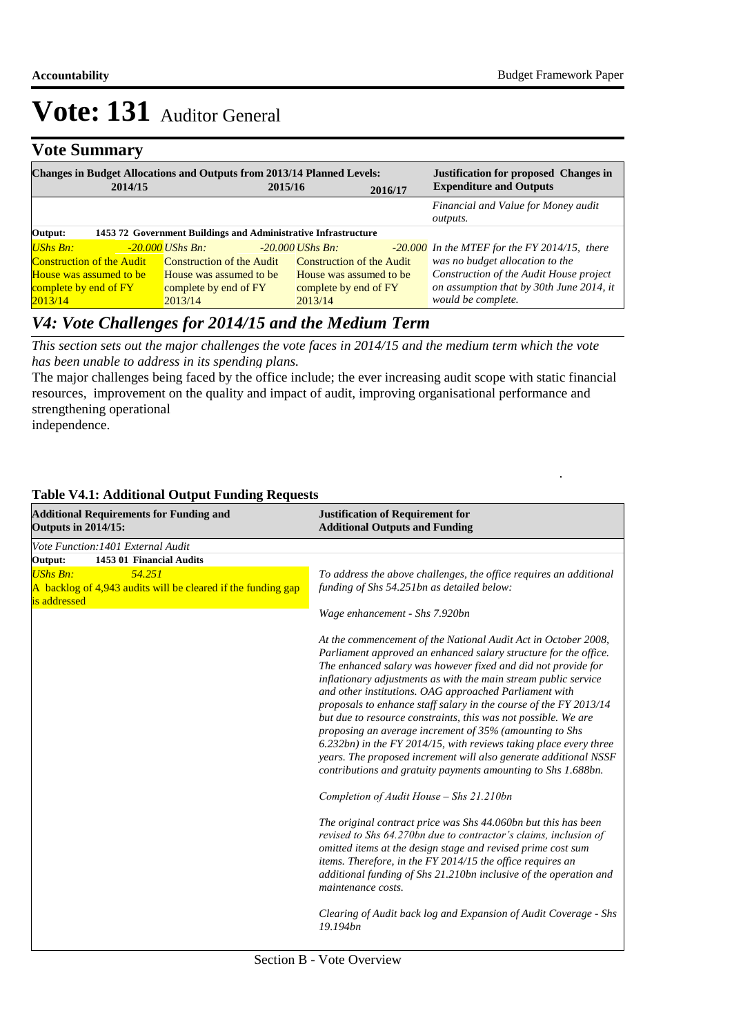### **Vote Summary**

| 2014/15                          | <b>Changes in Budget Allocations and Outputs from 2013/14 Planned Levels:</b><br>2015/16 |                                  | 2016/17 | <b>Justification for proposed Changes in</b><br><b>Expenditure and Outputs</b> |
|----------------------------------|------------------------------------------------------------------------------------------|----------------------------------|---------|--------------------------------------------------------------------------------|
|                                  |                                                                                          |                                  |         | Financial and Value for Money audit<br><i>outputs.</i>                         |
| Output:                          | 1453 72 Government Buildings and Administrative Infrastructure                           |                                  |         |                                                                                |
| $UShs Bn:$                       | -20.000 UShs Bn:                                                                         | $-20,000$ UShs Bn:               |         | -20.000 In the MTEF for the FY 2014/15, there                                  |
| <b>Construction of the Audit</b> | Construction of the Audit                                                                | <b>Construction of the Audit</b> |         | was no budget allocation to the                                                |
| House was assumed to be          | House was assumed to be                                                                  | House was assumed to be          |         | Construction of the Audit House project                                        |
| complete by end of FY            | complete by end of FY                                                                    | complete by end of FY            |         | on assumption that by 30th June 2014, it                                       |
| 2013/14                          | 2013/14                                                                                  | 2013/14                          |         | would be complete.                                                             |

## *V4: Vote Challenges for 2014/15 and the Medium Term*

*This section sets out the major challenges the vote faces in 2014/15 and the medium term which the vote has been unable to address in its spending plans.*

The major challenges being faced by the office include; the ever increasing audit scope with static financial resources, improvement on the quality and impact of audit, improving organisational performance and strengthening operational independence.

.

*V5: Vote Cross-Cutting Policy and Other Budgetary Issues* **Additional Outputs and Funding Justification of Requirement for Additional Requirements for Funding and Outputs in 2014/15:** *Vote Function:1401 External Audit* **Output: 1453 01 Financial Audits** *UShs Bn: 54.251* A backlog of 4,943 audits will be cleared if the funding gap is addressed *To address the above challenges, the office requires an additional funding of Shs 54.251bn as detailed below: Wage enhancement - Shs 7.920bn At the commencement of the National Audit Act in October 2008, Parliament approved an enhanced salary structure for the office. The enhanced salary was however fixed and did not provide for inflationary adjustments as with the main stream public service and other institutions. OAG approached Parliament with proposals to enhance staff salary in the course of the FY 2013/14 but due to resource constraints, this was not possible. We are proposing an average increment of 35% (amounting to Shs 6.232bn) in the FY 2014/15, with reviews taking place every three years. The proposed increment will also generate additional NSSF contributions and gratuity payments amounting to Shs 1.688bn. Completion of Audit House – Shs 21.210bn The original contract price was Shs 44.060bn but this has been revised to Shs 64.270bn due to contractor's claims, inclusion of omitted items at the design stage and revised prime cost sum items. Therefore, in the FY 2014/15 the office requires an additional funding of Shs 21.210bn inclusive of the operation and maintenance costs. Clearing of Audit back log and Expansion of Audit Coverage - Shs 19.194bn*

#### **Table V4.1: Additional Output Funding Requests**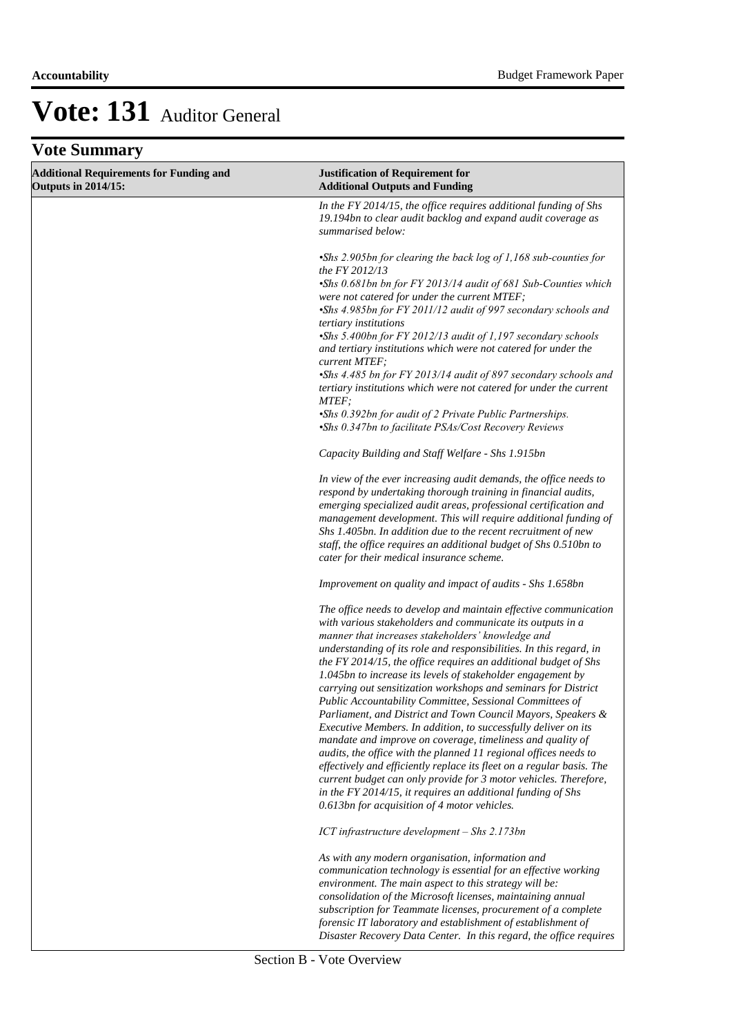## **Vote Summary**

| <b>Additional Requirements for Funding and</b><br><b>Outputs in 2014/15:</b> | <b>Justification of Requirement for</b><br><b>Additional Outputs and Funding</b>                                                                                                                                                                                                                                                                                                                                                                                                                                                                                                                                                                                                                                                                                                                                                                                                                                                                                                                                                                          |
|------------------------------------------------------------------------------|-----------------------------------------------------------------------------------------------------------------------------------------------------------------------------------------------------------------------------------------------------------------------------------------------------------------------------------------------------------------------------------------------------------------------------------------------------------------------------------------------------------------------------------------------------------------------------------------------------------------------------------------------------------------------------------------------------------------------------------------------------------------------------------------------------------------------------------------------------------------------------------------------------------------------------------------------------------------------------------------------------------------------------------------------------------|
|                                                                              | In the FY 2014/15, the office requires additional funding of Shs<br>19.194bn to clear audit backlog and expand audit coverage as<br>summarised below:                                                                                                                                                                                                                                                                                                                                                                                                                                                                                                                                                                                                                                                                                                                                                                                                                                                                                                     |
|                                                                              | •Shs 2.905bn for clearing the back log of 1,168 sub-counties for<br>the FY 2012/13<br>•Shs 0.681bn bn for FY 2013/14 audit of 681 Sub-Counties which<br>were not catered for under the current MTEF;<br>•Shs 4.985bn for FY 2011/12 audit of 997 secondary schools and<br>tertiary institutions<br>•Shs 5.400bn for FY 2012/13 audit of 1,197 secondary schools<br>and tertiary institutions which were not catered for under the<br>current MTEF;<br>•Shs 4.485 bn for FY 2013/14 audit of 897 secondary schools and<br>tertiary institutions which were not catered for under the current<br>MTEF;<br>•Shs 0.392bn for audit of 2 Private Public Partnerships.<br>•Shs 0.347bn to facilitate PSAs/Cost Recovery Reviews<br>Capacity Building and Staff Welfare - Shs 1.915bn                                                                                                                                                                                                                                                                            |
|                                                                              | In view of the ever increasing audit demands, the office needs to<br>respond by undertaking thorough training in financial audits,<br>emerging specialized audit areas, professional certification and<br>management development. This will require additional funding of<br>Shs 1.405bn. In addition due to the recent recruitment of new<br>staff, the office requires an additional budget of Shs 0.510bn to<br>cater for their medical insurance scheme.                                                                                                                                                                                                                                                                                                                                                                                                                                                                                                                                                                                              |
|                                                                              | Improvement on quality and impact of audits - Shs 1.658bn                                                                                                                                                                                                                                                                                                                                                                                                                                                                                                                                                                                                                                                                                                                                                                                                                                                                                                                                                                                                 |
|                                                                              | The office needs to develop and maintain effective communication<br>with various stakeholders and communicate its outputs in a<br>manner that increases stakeholders' knowledge and<br>understanding of its role and responsibilities. In this regard, in<br>the FY 2014/15, the office requires an additional budget of Shs<br>1.045bn to increase its levels of stakeholder engagement by<br>carrying out sensitization workshops and seminars for District<br>Public Accountability Committee, Sessional Committees of<br>Parliament, and District and Town Council Mayors, Speakers &<br>Executive Members. In addition, to successfully deliver on its<br>mandate and improve on coverage, timeliness and quality of<br>audits, the office with the planned 11 regional offices needs to<br>effectively and efficiently replace its fleet on a regular basis. The<br>current budget can only provide for 3 motor vehicles. Therefore,<br>in the FY 2014/15, it requires an additional funding of Shs<br>0.613bn for acquisition of 4 motor vehicles. |
|                                                                              | ICT infrastructure development - Shs 2.173bn                                                                                                                                                                                                                                                                                                                                                                                                                                                                                                                                                                                                                                                                                                                                                                                                                                                                                                                                                                                                              |
|                                                                              | As with any modern organisation, information and<br>communication technology is essential for an effective working<br>environment. The main aspect to this strategy will be:<br>consolidation of the Microsoft licenses, maintaining annual<br>subscription for Teammate licenses, procurement of a complete<br>forensic IT laboratory and establishment of establishment of<br>Disaster Recovery Data Center. In this regard, the office requires                                                                                                                                                                                                                                                                                                                                                                                                                                                                                                                                                                                                        |